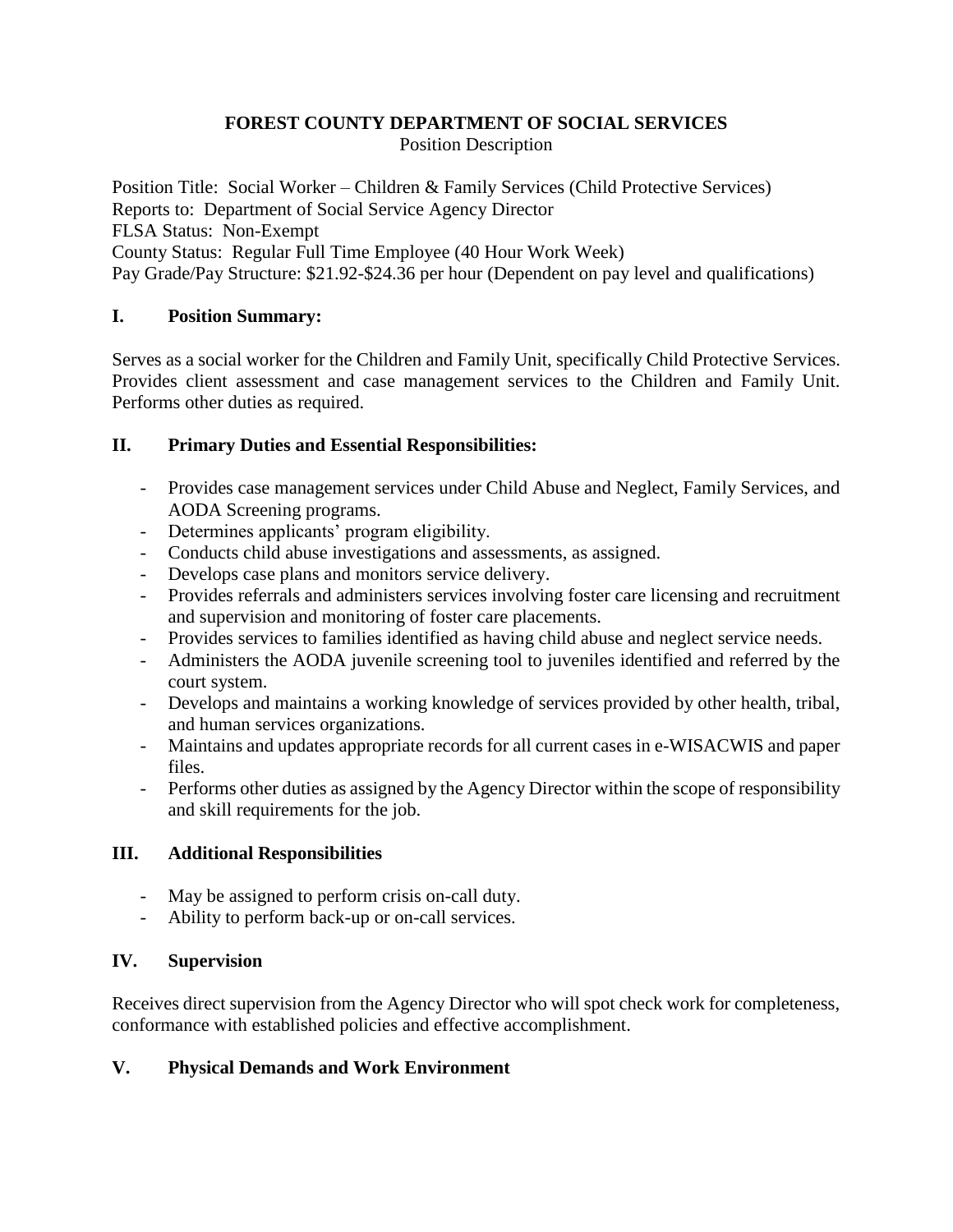# **FOREST COUNTY DEPARTMENT OF SOCIAL SERVICES**

Position Description

Position Title: Social Worker – Children & Family Services (Child Protective Services) Reports to: Department of Social Service Agency Director FLSA Status: Non-Exempt County Status: Regular Full Time Employee (40 Hour Work Week) Pay Grade/Pay Structure: \$21.92-\$24.36 per hour (Dependent on pay level and qualifications)

# **I. Position Summary:**

Serves as a social worker for the Children and Family Unit, specifically Child Protective Services. Provides client assessment and case management services to the Children and Family Unit. Performs other duties as required.

### **II. Primary Duties and Essential Responsibilities:**

- Provides case management services under Child Abuse and Neglect, Family Services, and AODA Screening programs.
- Determines applicants' program eligibility.
- Conducts child abuse investigations and assessments, as assigned.
- Develops case plans and monitors service delivery.
- Provides referrals and administers services involving foster care licensing and recruitment and supervision and monitoring of foster care placements.
- Provides services to families identified as having child abuse and neglect service needs.
- Administers the AODA juvenile screening tool to juveniles identified and referred by the court system.
- Develops and maintains a working knowledge of services provided by other health, tribal, and human services organizations.
- Maintains and updates appropriate records for all current cases in e-WISACWIS and paper files.
- Performs other duties as assigned by the Agency Director within the scope of responsibility and skill requirements for the job.

# **III. Additional Responsibilities**

- May be assigned to perform crisis on-call duty.
- Ability to perform back-up or on-call services.

# **IV. Supervision**

Receives direct supervision from the Agency Director who will spot check work for completeness, conformance with established policies and effective accomplishment.

# **V. Physical Demands and Work Environment**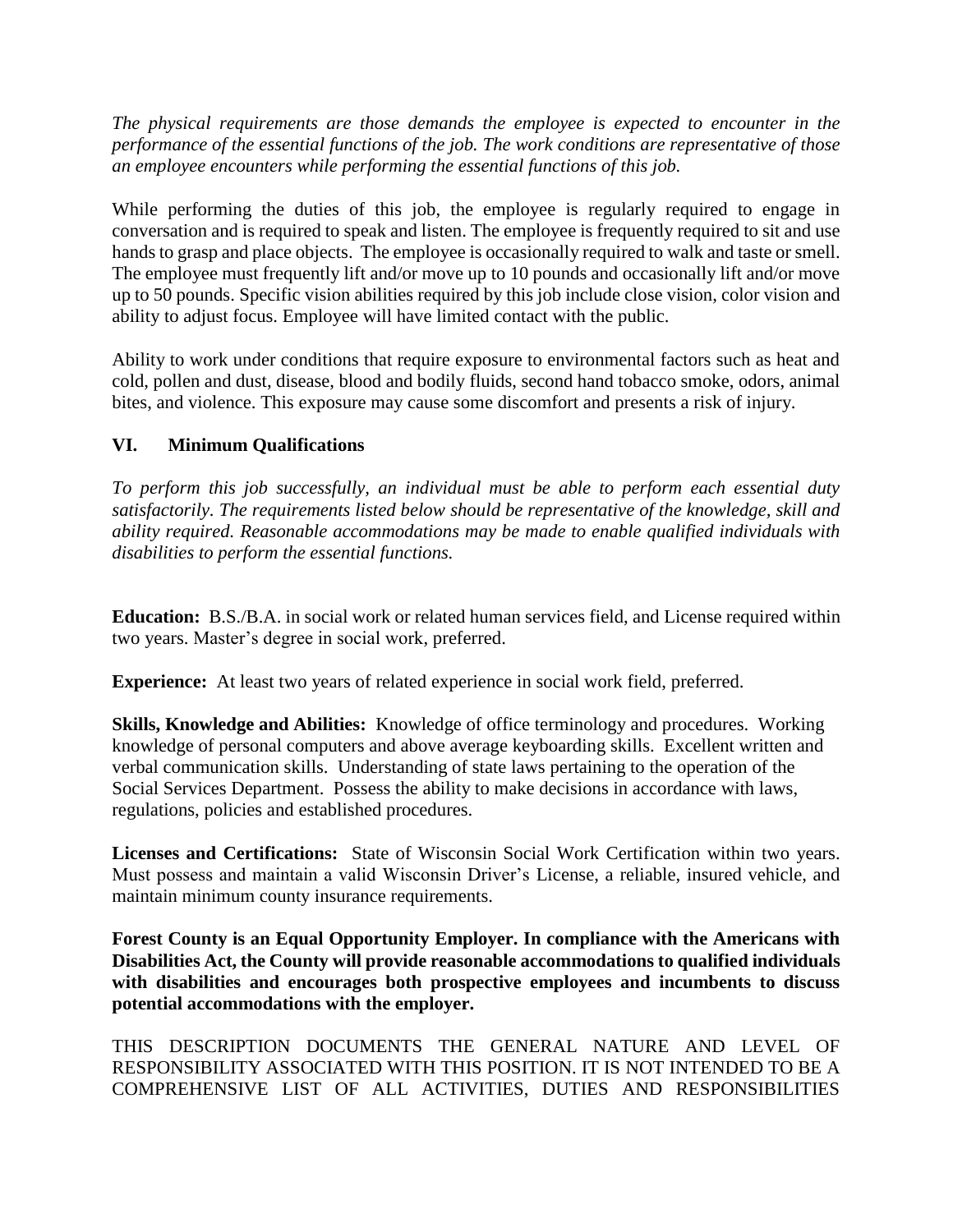*The physical requirements are those demands the employee is expected to encounter in the performance of the essential functions of the job. The work conditions are representative of those an employee encounters while performing the essential functions of this job.*

While performing the duties of this job, the employee is regularly required to engage in conversation and is required to speak and listen. The employee is frequently required to sit and use hands to grasp and place objects. The employee is occasionally required to walk and taste or smell. The employee must frequently lift and/or move up to 10 pounds and occasionally lift and/or move up to 50 pounds. Specific vision abilities required by this job include close vision, color vision and ability to adjust focus. Employee will have limited contact with the public.

Ability to work under conditions that require exposure to environmental factors such as heat and cold, pollen and dust, disease, blood and bodily fluids, second hand tobacco smoke, odors, animal bites, and violence. This exposure may cause some discomfort and presents a risk of injury.

### **VI. Minimum Qualifications**

*To perform this job successfully, an individual must be able to perform each essential duty satisfactorily. The requirements listed below should be representative of the knowledge, skill and ability required. Reasonable accommodations may be made to enable qualified individuals with disabilities to perform the essential functions.*

**Education:** B.S./B.A. in social work or related human services field, and License required within two years. Master's degree in social work, preferred.

**Experience:** At least two years of related experience in social work field, preferred.

**Skills, Knowledge and Abilities:** Knowledge of office terminology and procedures. Working knowledge of personal computers and above average keyboarding skills. Excellent written and verbal communication skills. Understanding of state laws pertaining to the operation of the Social Services Department. Possess the ability to make decisions in accordance with laws, regulations, policies and established procedures.

**Licenses and Certifications:** State of Wisconsin Social Work Certification within two years. Must possess and maintain a valid Wisconsin Driver's License, a reliable, insured vehicle, and maintain minimum county insurance requirements.

**Forest County is an Equal Opportunity Employer. In compliance with the Americans with Disabilities Act, the County will provide reasonable accommodations to qualified individuals with disabilities and encourages both prospective employees and incumbents to discuss potential accommodations with the employer.**

THIS DESCRIPTION DOCUMENTS THE GENERAL NATURE AND LEVEL OF RESPONSIBILITY ASSOCIATED WITH THIS POSITION. IT IS NOT INTENDED TO BE A COMPREHENSIVE LIST OF ALL ACTIVITIES, DUTIES AND RESPONSIBILITIES